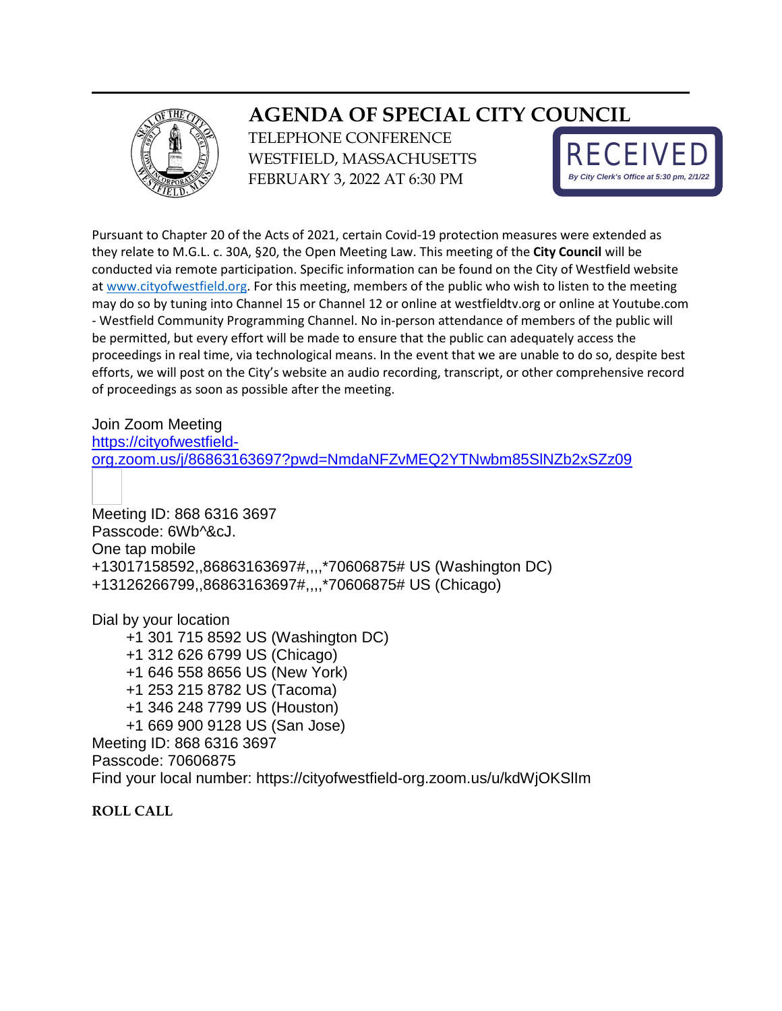

## **AGENDA OF SPECIAL CITY COUNCIL**

TELEPHONE CONFERENCE WESTFIELD, MASSACHUSETTS FEBRUARY 3, 2022 AT 6:30 PM



Pursuant to Chapter 20 of the Acts of 2021, certain Covid-19 protection measures were extended as they relate to M.G.L. c. 30A, §20, the Open Meeting Law. This meeting of the **City Council** will be conducted via remote participation. Specific information can be found on the City of Westfield website at [www.cityofwestfield.org.](http://www.cityofwestfield.org/) For this meeting, members of the public who wish to listen to the meeting may do so by tuning into Channel 15 or Channel 12 or online at westfieldtv.org or online at Youtube.com - Westfield Community Programming Channel. No in-person attendance of members of the public will be permitted, but every effort will be made to ensure that the public can adequately access the proceedings in real time, via technological means. In the event that we are unable to do so, despite best efforts, we will post on the City's website an audio recording, transcript, or other comprehensive record of proceedings as soon as possible after the meeting.

Join Zoom Meeting

[https://cityofwestfield-](https://cityofwestfield-org.zoom.us/j/86863163697?pwd=NmdaNFZvMEQ2YTNwbm85SlNZb2xSZz09)

[org.zoom.us/j/86863163697?pwd=NmdaNFZvMEQ2YTNwbm85SlNZb2xSZz09](https://cityofwestfield-org.zoom.us/j/86863163697?pwd=NmdaNFZvMEQ2YTNwbm85SlNZb2xSZz09)

Meeting ID: 868 6316 3697 Passcode: 6Wb^&cJ. One tap mobile +13017158592,,86863163697#,,,,\*70606875# US (Washington DC) +13126266799,,86863163697#,,,,\*70606875# US (Chicago)

Dial by your location +1 301 715 8592 US (Washington DC) +1 312 626 6799 US (Chicago) +1 646 558 8656 US (New York) +1 253 215 8782 US (Tacoma) +1 346 248 7799 US (Houston) +1 669 900 9128 US (San Jose) Meeting ID: 868 6316 3697 Passcode: 70606875 Find your local number: https://cityofwestfield-org.zoom.us/u/kdWjOKSlIm

**ROLL CALL**